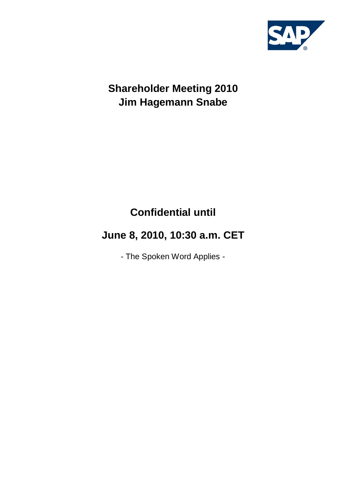

## **Shareholder Meeting 2010 Jim Hagemann Snabe**

# **Confidential until**

# **June 8, 2010, 10:30 a.m. CET**

- The Spoken Word Applies -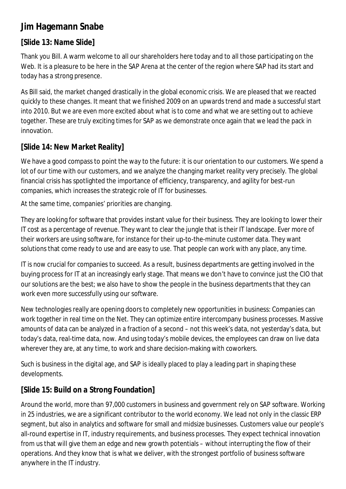### **Jim Hagemann Snabe**

### **[Slide 13: Name Slide]**

Thank you Bill. A warm welcome to all our shareholders here today and to all those participating on the Web. It is a pleasure to be here in the SAP Arena at the center of the region where SAP had its start and today has a strong presence.

As Bill said, the market changed drastically in the global economic crisis. We are pleased that we reacted quickly to these changes. It meant that we finished 2009 on an upwards trend and made a successful start into 2010. But we are even more excited about what is to come and what we are setting out to achieve together. These are truly exciting times for SAP as we demonstrate once again that we lead the pack in innovation.

#### **[Slide 14: New Market Reality]**

We have a good compass to point the way to the future: it is our orientation to our customers. We spend a lot of our time with our customers, and we analyze the changing market reality very precisely. The global financial crisis has spotlighted the importance of efficiency, transparency, and agility for best-run companies, which increases the strategic role of IT for businesses.

At the same time, companies' priorities are changing.

They are looking for software that provides instant value for their business. They are looking to lower their IT cost as a percentage of revenue. They want to clear the jungle that is their IT landscape. Ever more of their workers are using software, for instance for their up-to-the-minute customer data. They want solutions that come ready to use and are easy to use. That people can work with any place, any time.

IT is now crucial for companies to succeed. As a result, business departments are getting involved in the buying process for IT at an increasingly early stage. That means we don't have to convince just the CIO that our solutions are the best; we also have to show the people in the business departments that they can work even more successfully using our software.

New technologies really are opening doors to completely new opportunities in business: Companies can work together in real time on the Net. They can optimize entire intercompany business processes. Massive amounts of data can be analyzed in a fraction of a second – not this week's data, not yesterday's data, but today's data, real-time data, now. And using today's mobile devices, the employees can draw on live data wherever they are, at any time, to work and share decision-making with coworkers.

Such is business in the digital age, and SAP is ideally placed to play a leading part in shaping these developments.

### **[Slide 15: Build on a Strong Foundation]**

Around the world, more than 97,000 customers in business and government rely on SAP software. Working in 25 industries, we are a significant contributor to the world economy. We lead not only in the classic ERP segment, but also in analytics and software for small and midsize businesses. Customers value our people's all-round expertise in IT, industry requirements, and business processes. They expect technical innovation from us that will give them an edge and new growth potentials – without interrupting the flow of their operations. And they know that is what we deliver, with the strongest portfolio of business software anywhere in the IT industry.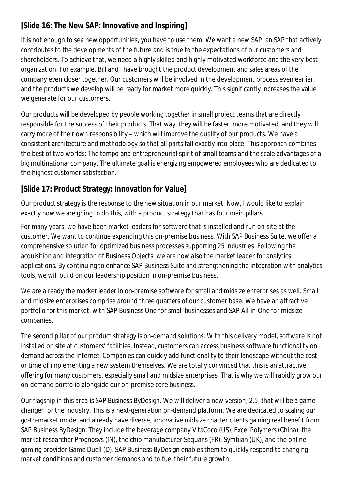#### **[Slide 16: The New SAP: Innovative and Inspiring]**

It is not enough to see new opportunities, you have to use them. We want a new SAP, an SAP that actively contributes to the developments of the future and is true to the expectations of our customers and shareholders. To achieve that, we need a highly skilled and highly motivated workforce and the very best organization. For example, Bill and I have brought the product development and sales areas of the company even closer together. Our customers will be involved in the development process even earlier, and the products we develop will be ready for market more quickly. This significantly increases the value we generate for our customers.

Our products will be developed by people working together in small project teams that are directly responsible for the success of their products. That way, they will be faster, more motivated, and they will carry more of their own responsibility – which will improve the quality of our products. We have a consistent architecture and methodology so that all parts fall exactly into place. This approach combines the best of two worlds: The tempo and entrepreneurial spirit of small teams and the scale advantages of a big multinational company. The ultimate goal is energizing empowered employees who are dedicated to the highest customer satisfaction.

### **[Slide 17: Product Strategy: Innovation for Value]**

Our product strategy is the response to the new situation in our market. Now, I would like to explain exactly how we are going to do this, with a product strategy that has four main pillars.

For many years, we have been market leaders for software that is installed and run on-site at the customer. We want to continue expanding this on-premise business. With SAP Business Suite, we offer a comprehensive solution for optimized business processes supporting 25 industries. Following the acquisition and integration of Business Objects, we are now also the market leader for analytics applications. By continuing to enhance SAP Business Suite and strengthening the integration with analytics tools, we will build on our leadership position in on-premise business.

We are already the market leader in on-premise software for small and midsize enterprises as well. Small and midsize enterprises comprise around three quarters of our customer base. We have an attractive portfolio for this market, with SAP Business One for small businesses and SAP All-in-One for midsize companies.

The second pillar of our product strategy is on-demand solutions. With this delivery model, software is not installed on site at customers' facilities. Instead, customers can access business software functionality on demand across the Internet. Companies can quickly add functionality to their landscape without the cost or time of implementing a new system themselves. We are totally convinced that this is an attractive offering for many customers, especially small and midsize enterprises. That is why we will rapidly grow our on-demand portfolio alongside our on-premise core business.

Our flagship in this area is SAP Business ByDesign. We will deliver a new version, 2.5, that will be a game changer for the industry. This is a next-generation on-demand platform. We are dedicated to scaling our go-to-market model and already have diverse, innovative midsize charter clients gaining real benefit from SAP Business ByDesign. They include the beverage company VitaCoco (US), Excel Polymers (China), the market researcher Prognosys (IN), the chip manufacturer Sequans (FR), Symbian (UK), and the online gaming provider Game Duell (D). SAP Business ByDesign enables them to quickly respond to changing market conditions and customer demands and to fuel their future growth.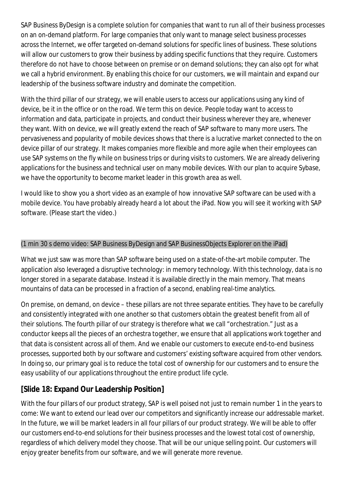SAP Business ByDesign is a complete solution for companies that want to run all of their business processes on an on-demand platform. For large companies that only want to manage select business processes across the Internet, we offer targeted on-demand solutions for specific lines of business. These solutions will allow our customers to grow their business by adding specific functions that they require. Customers therefore do not have to choose between on premise or on demand solutions; they can also opt for what we call a hybrid environment. By enabling this choice for our customers, we will maintain and expand our leadership of the business software industry and dominate the competition.

With the third pillar of our strategy, we will enable users to access our applications using any kind of device, be it in the office or on the road. We term this on device. People today want to access to information and data, participate in projects, and conduct their business wherever they are, whenever they want. With on device, we will greatly extend the reach of SAP software to many more users. The pervasiveness and popularity of mobile devices shows that there is a lucrative market connected to the on device pillar of our strategy. It makes companies more flexible and more agile when their employees can use SAP systems on the fly while on business trips or during visits to customers. We are already delivering applications for the business and technical user on many mobile devices. With our plan to acquire Sybase, we have the opportunity to become market leader in this growth area as well.

I would like to show you a short video as an example of how innovative SAP software can be used with a mobile device. You have probably already heard a lot about the iPad. Now you will see it working with SAP software. (Please start the video.)

#### (1 min 30 s demo video: SAP Business ByDesign and SAP BusinessObjects Explorer on the iPad)

What we just saw was more than SAP software being used on a state-of-the-art mobile computer. The application also leveraged a disruptive technology: in memory technology. With this technology, data is no longer stored in a separate database. Instead it is available directly in the main memory. That means mountains of data can be processed in a fraction of a second, enabling real-time analytics.

On premise, on demand, on device – these pillars are not three separate entities. They have to be carefully and consistently integrated with one another so that customers obtain the greatest benefit from all of their solutions. The fourth pillar of our strategy is therefore what we call "orchestration." Just as a conductor keeps all the pieces of an orchestra together, we ensure that all applications work together and that data is consistent across all of them. And we enable our customers to execute end-to-end business processes, supported both by our software and customers' existing software acquired from other vendors. In doing so, our primary goal is to reduce the total cost of ownership for our customers and to ensure the easy usability of our applications throughout the entire product life cycle.

#### **[Slide 18: Expand Our Leadership Position]**

With the four pillars of our product strategy, SAP is well poised not just to remain number 1 in the years to come: We want to extend our lead over our competitors and significantly increase our addressable market. In the future, we will be market leaders in all four pillars of our product strategy. We will be able to offer our customers end-to-end solutions for their business processes and the lowest total cost of ownership, regardless of which delivery model they choose. That will be our unique selling point. Our customers will enjoy greater benefits from our software, and we will generate more revenue.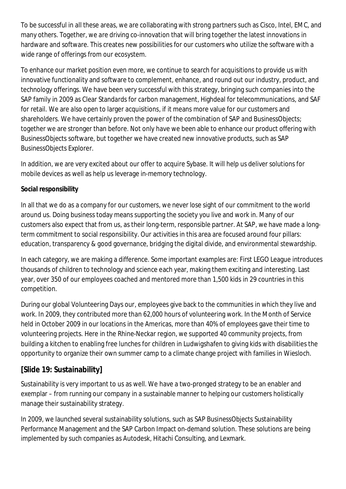To be successful in all these areas, we are collaborating with strong partners such as Cisco, Intel, EMC, and many others. Together, we are driving co-innovation that will bring together the latest innovations in hardware and software. This creates new possibilities for our customers who utilize the software with a wide range of offerings from our ecosystem.

To enhance our market position even more, we continue to search for acquisitions to provide us with innovative functionality and software to complement, enhance, and round out our industry, product, and technology offerings. We have been very successful with this strategy, bringing such companies into the SAP family in 2009 as Clear Standards for carbon management, Highdeal for telecommunications, and SAF for retail. We are also open to larger acquisitions, if it means more value for our customers and shareholders. We have certainly proven the power of the combination of SAP and BusinessObjects; together we are stronger than before. Not only have we been able to enhance our product offering with BusinessObjects software, but together we have created new innovative products, such as SAP BusinessObjects Explorer.

In addition, we are very excited about our offer to acquire Sybase. It will help us deliver solutions for mobile devices as well as help us leverage in-memory technology.

#### **Social responsibility**

In all that we do as a company for our customers, we never lose sight of our commitment to the world around us. Doing business today means supporting the society you live and work in. Many of our customers also expect that from us, as their long-term, responsible partner. At SAP, we have made a longterm commitment to social responsibility. Our activities in this area are focused around four pillars: education, transparency & good governance, bridging the digital divide, and environmental stewardship.

In each category, we are making a difference. Some important examples are: First LEGO League introduces thousands of children to technology and science each year, making them exciting and interesting. Last year, over 350 of our employees coached and mentored more than 1,500 kids in 29 countries in this competition.

During our global Volunteering Days our, employees give back to the communities in which they live and work. In 2009, they contributed more than 62,000 hours of volunteering work. In the Month of Service held in October 2009 in our locations in the Americas, more than 40% of employees gave their time to volunteering projects. Here in the Rhine-Neckar region, we supported 40 community projects, from building a kitchen to enabling free lunches for children in Ludwigshafen to giving kids with disabilities the opportunity to organize their own summer camp to a climate change project with families in Wiesloch.

#### **[Slide 19: Sustainability]**

Sustainability is very important to us as well. We have a two-pronged strategy to be an enabler and exemplar – from running our company in a sustainable manner to helping our customers holistically manage their sustainability strategy.

In 2009, we launched several sustainability solutions, such as SAP BusinessObjects Sustainability Performance Management and the SAP Carbon Impact on-demand solution. These solutions are being implemented by such companies as Autodesk, Hitachi Consulting, and Lexmark.